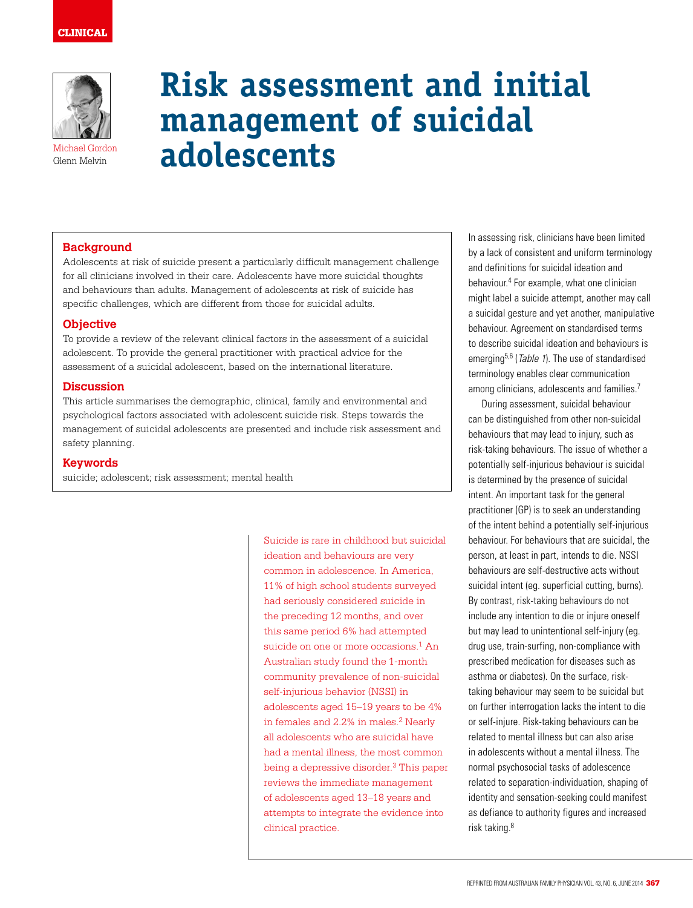

Michael Gordon Glenn Melvin

# **Risk assessment and initial management of suicidal adolescents**

# **Background**

Adolescents at risk of suicide present a particularly difficult management challenge for all clinicians involved in their care. Adolescents have more suicidal thoughts and behaviours than adults. Management of adolescents at risk of suicide has specific challenges, which are different from those for suicidal adults.

## **Objective**

To provide a review of the relevant clinical factors in the assessment of a suicidal adolescent. To provide the general practitioner with practical advice for the assessment of a suicidal adolescent, based on the international literature.

## **Discussion**

This article summarises the demographic, clinical, family and environmental and psychological factors associated with adolescent suicide risk. Steps towards the management of suicidal adolescents are presented and include risk assessment and safety planning.

## **Keywords**

suicide; adolescent; risk assessment; mental health

Suicide is rare in childhood but suicidal ideation and behaviours are very common in adolescence. In America, 11% of high school students surveyed had seriously considered suicide in the preceding 12 months, and over this same period 6% had attempted suicide on one or more occasions.<sup>1</sup> An Australian study found the 1-month community prevalence of non-suicidal self-injurious behavior (NSSI) in adolescents aged 15–19 years to be 4% in females and  $2.2\%$  in males.<sup>2</sup> Nearly all adolescents who are suicidal have had a mental illness, the most common being a depressive disorder.<sup>3</sup> This paper reviews the immediate management of adolescents aged 13–18 years and attempts to integrate the evidence into clinical practice.

In assessing risk, clinicians have been limited by a lack of consistent and uniform terminology and definitions for suicidal ideation and behaviour.4 For example, what one clinician might label a suicide attempt, another may call a suicidal gesture and yet another, manipulative behaviour. Agreement on standardised terms to describe suicidal ideation and behaviours is emerging<sup>5,6</sup> (*Table 1*). The use of standardised terminology enables clear communication among clinicians, adolescents and families.<sup>7</sup>

During assessment, suicidal behaviour can be distinguished from other non-suicidal behaviours that may lead to injury, such as risk-taking behaviours. The issue of whether a potentially self-injurious behaviour is suicidal is determined by the presence of suicidal intent. An important task for the general practitioner (GP) is to seek an understanding of the intent behind a potentially self-injurious behaviour. For behaviours that are suicidal, the person, at least in part, intends to die. NSSI behaviours are self-destructive acts without suicidal intent (eg. superficial cutting, burns). By contrast, risk-taking behaviours do not include any intention to die or injure oneself but may lead to unintentional self-injury (eg. drug use, train-surfing, non-compliance with prescribed medication for diseases such as asthma or diabetes). On the surface, risktaking behaviour may seem to be suicidal but on further interrogation lacks the intent to die or self-injure. Risk-taking behaviours can be related to mental illness but can also arise in adolescents without a mental illness. The normal psychosocial tasks of adolescence related to separation-individuation, shaping of identity and sensation-seeking could manifest as defiance to authority figures and increased risk taking.8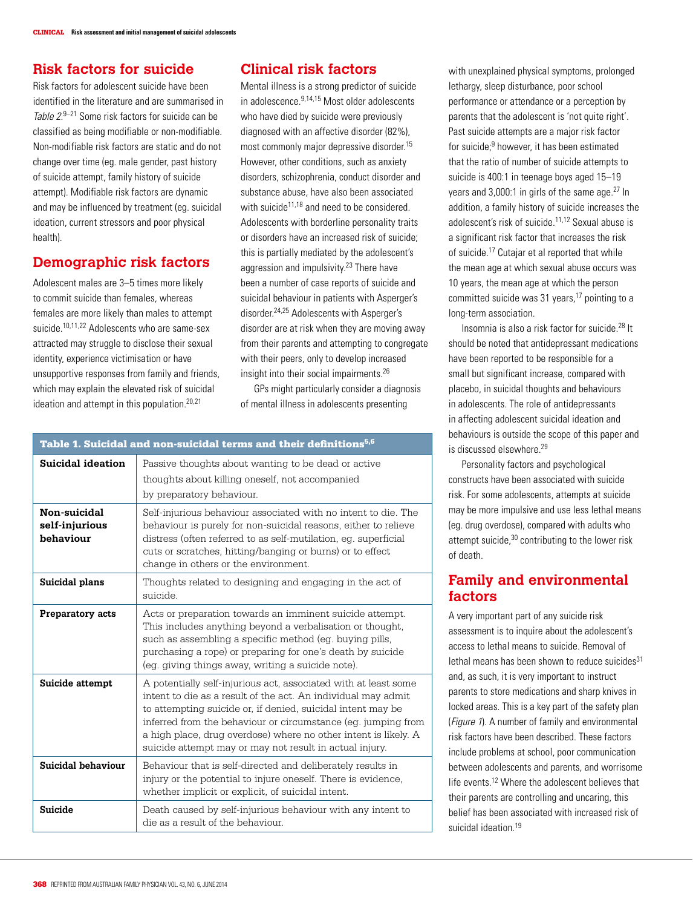# **Risk factors for suicide**

Risk factors for adolescent suicide have been identified in the literature and are summarised in Table 2.9-21 Some risk factors for suicide can be classified as being modifiable or non-modifiable. Non-modifiable risk factors are static and do not change over time (eg. male gender, past history of suicide attempt, family history of suicide attempt). Modifiable risk factors are dynamic and may be influenced by treatment (eg. suicidal ideation, current stressors and poor physical health).

# **Demographic risk factors**

Adolescent males are 3–5 times more likely to commit suicide than females, whereas females are more likely than males to attempt suicide.<sup>10,11,22</sup> Adolescents who are same-sex attracted may struggle to disclose their sexual identity, experience victimisation or have unsupportive responses from family and friends, which may explain the elevated risk of suicidal ideation and attempt in this population.<sup>20,21</sup>

# **Clinical risk factors**

Mental illness is a strong predictor of suicide in adolescence.9,14,15 Most older adolescents who have died by suicide were previously diagnosed with an affective disorder (82%), most commonly major depressive disorder.15 However, other conditions, such as anxiety disorders, schizophrenia, conduct disorder and substance abuse, have also been associated with suicide<sup>11,18</sup> and need to be considered. Adolescents with borderline personality traits or disorders have an increased risk of suicide; this is partially mediated by the adolescent's aggression and impulsivity.23 There have been a number of case reports of suicide and suicidal behaviour in patients with Asperger's disorder.24,25 Adolescents with Asperger's disorder are at risk when they are moving away from their parents and attempting to congregate with their peers, only to develop increased insight into their social impairments.26

GPs might particularly consider a diagnosis of mental illness in adolescents presenting

| Table 1. Suicidal and non-suicidal terms and their definitions <sup>5,6</sup> |                                                                                                                                                                                                                                                                                                                                                                                                |  |
|-------------------------------------------------------------------------------|------------------------------------------------------------------------------------------------------------------------------------------------------------------------------------------------------------------------------------------------------------------------------------------------------------------------------------------------------------------------------------------------|--|
| Suicidal ideation                                                             | Passive thoughts about wanting to be dead or active<br>thoughts about killing oneself, not accompanied<br>by preparatory behaviour.                                                                                                                                                                                                                                                            |  |
| Non-suicidal<br>self-injurious<br>behaviour                                   | Self-injurious behaviour associated with no intent to die. The<br>behaviour is purely for non-suicidal reasons, either to relieve<br>distress (often referred to as self-mutilation, eq. superficial<br>cuts or scratches, hitting/banging or burns) or to effect<br>change in others or the environment.                                                                                      |  |
| Suicidal plans                                                                | Thoughts related to designing and engaging in the act of<br>suicide.                                                                                                                                                                                                                                                                                                                           |  |
| Preparatory acts                                                              | Acts or preparation towards an imminent suicide attempt.<br>This includes anything beyond a verbalisation or thought,<br>such as assembling a specific method (eq. buying pills,<br>purchasing a rope) or preparing for one's death by suicide<br>(eg. giving things away, writing a suicide note).                                                                                            |  |
| Suicide attempt                                                               | A potentially self-injurious act, associated with at least some<br>intent to die as a result of the act. An individual may admit<br>to attempting suicide or, if denied, suicidal intent may be<br>inferred from the behaviour or circumstance (eq. jumping from<br>a high place, drug overdose) where no other intent is likely. A<br>suicide attempt may or may not result in actual injury. |  |
| Suicidal behaviour                                                            | Behaviour that is self-directed and deliberately results in<br>injury or the potential to injure oneself. There is evidence,<br>whether implicit or explicit, of suicidal intent.                                                                                                                                                                                                              |  |
| Suicide                                                                       | Death caused by self-injurious behaviour with any intent to<br>die as a result of the behaviour.                                                                                                                                                                                                                                                                                               |  |

with unexplained physical symptoms, prolonged lethargy, sleep disturbance, poor school performance or attendance or a perception by parents that the adolescent is 'not quite right'. Past suicide attempts are a major risk factor for suicide;<sup>9</sup> however, it has been estimated that the ratio of number of suicide attempts to suicide is 400:1 in teenage boys aged 15–19 years and 3,000:1 in girls of the same age.<sup>27</sup> In addition, a family history of suicide increases the adolescent's risk of suicide.11,12 Sexual abuse is a significant risk factor that increases the risk of suicide.17 Cutajar et al reported that while the mean age at which sexual abuse occurs was 10 years, the mean age at which the person committed suicide was 31 years, $17$  pointing to a long-term association.

Insomnia is also a risk factor for suicide.28 It should be noted that antidepressant medications have been reported to be responsible for a small but significant increase, compared with placebo, in suicidal thoughts and behaviours in adolescents. The role of antidepressants in affecting adolescent suicidal ideation and behaviours is outside the scope of this paper and is discussed elsewhere.29

Personality factors and psychological constructs have been associated with suicide risk. For some adolescents, attempts at suicide may be more impulsive and use less lethal means (eg. drug overdose), compared with adults who attempt suicide,30 contributing to the lower risk of death.

# **Family and environmental factors**

A very important part of any suicide risk assessment is to inquire about the adolescent's access to lethal means to suicide. Removal of lethal means has been shown to reduce suicides $31$ and, as such, it is very important to instruct parents to store medications and sharp knives in locked areas. This is a key part of the safety plan (*Figure 1*). A number of family and environmental risk factors have been described. These factors include problems at school, poor communication between adolescents and parents, and worrisome life events.12 Where the adolescent believes that their parents are controlling and uncaring, this belief has been associated with increased risk of suicidal ideation.<sup>19</sup>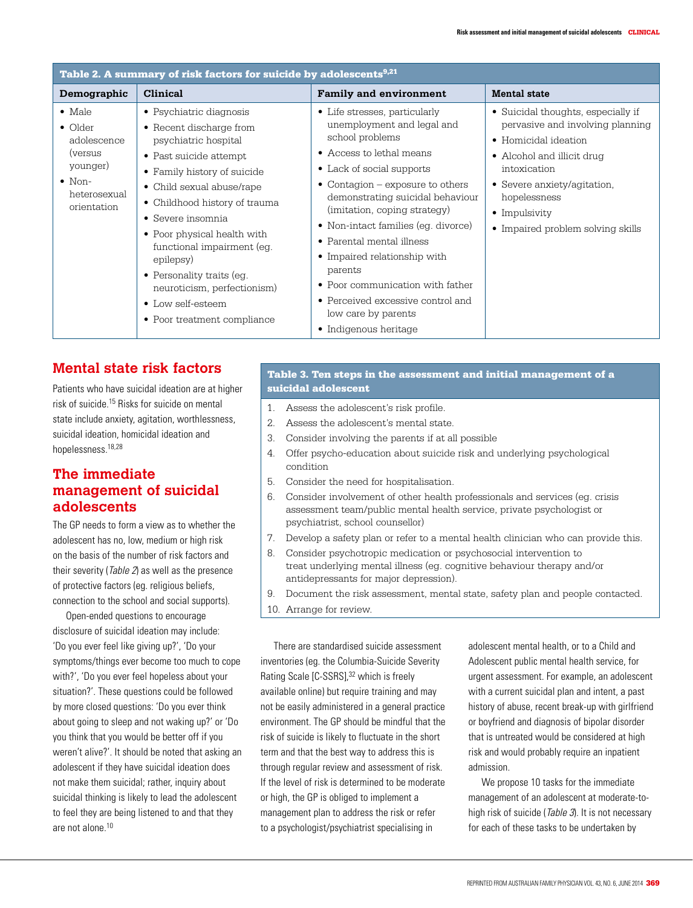| Table 2. A summary of risk factors for suicide by adolescents <sup>9,21</sup>                                                   |                                                                                                                                                                                                                                                                                                                                                                                                                          |                                                                                                                                                                                                                                                                                                                                                                                                                                                                                           |                                                                                                                                                                                                                                                   |  |  |  |
|---------------------------------------------------------------------------------------------------------------------------------|--------------------------------------------------------------------------------------------------------------------------------------------------------------------------------------------------------------------------------------------------------------------------------------------------------------------------------------------------------------------------------------------------------------------------|-------------------------------------------------------------------------------------------------------------------------------------------------------------------------------------------------------------------------------------------------------------------------------------------------------------------------------------------------------------------------------------------------------------------------------------------------------------------------------------------|---------------------------------------------------------------------------------------------------------------------------------------------------------------------------------------------------------------------------------------------------|--|--|--|
| Demographic                                                                                                                     | <b>Clinical</b>                                                                                                                                                                                                                                                                                                                                                                                                          | <b>Family and environment</b>                                                                                                                                                                                                                                                                                                                                                                                                                                                             | <b>Mental state</b>                                                                                                                                                                                                                               |  |  |  |
| $\bullet$ Male<br>$\bullet$ Older<br>adolescence<br><i>(versus</i><br>younger)<br>$\bullet$ Non-<br>heterosexual<br>orientation | • Psychiatric diagnosis<br>• Recent discharge from<br>psychiatric hospital<br>• Past suicide attempt<br>• Family history of suicide<br>• Child sexual abuse/rape<br>• Childhood history of trauma<br>$\bullet$ Severe insomnia<br>• Poor physical health with<br>functional impairment (eq.<br>epilepsy)<br>• Personality traits (eg.<br>neuroticism, perfectionism)<br>• Low self-esteem<br>• Poor treatment compliance | • Life stresses, particularly<br>unemployment and legal and<br>school problems<br>• Access to lethal means<br>• Lack of social supports<br>• Contagion $-$ exposure to others<br>demonstrating suicidal behaviour<br>(imitation, coping strategy)<br>• Non-intact families (eq. divorce)<br>• Parental mental illness<br>• Impaired relationship with<br>parents<br>• Poor communication with father<br>• Perceived excessive control and<br>low care by parents<br>• Indigenous heritage | • Suicidal thoughts, especially if<br>pervasive and involving planning<br>• Homicidal ideation<br>• Alcohol and illicit drug<br>intoxication<br>• Severe anxiety/agitation,<br>hopelessness<br>• Impulsivity<br>• Impaired problem solving skills |  |  |  |

# **Mental state risk factors**

Patients who have suicidal ideation are at higher risk of suicide.15 Risks for suicide on mental state include anxiety, agitation, worthlessness, suicidal ideation, homicidal ideation and hopelessness.18,28

# **The immediate management of suicidal adolescents**

The GP needs to form a view as to whether the adolescent has no, low, medium or high risk on the basis of the number of risk factors and their severity (Table 2) as well as the presence of protective factors (eg. religious beliefs, connection to the school and social supports).

Open-ended questions to encourage disclosure of suicidal ideation may include: 'Do you ever feel like giving up?', 'Do your symptoms/things ever become too much to cope with?', 'Do you ever feel hopeless about your situation?'. These questions could be followed by more closed questions: 'Do you ever think about going to sleep and not waking up?' or 'Do you think that you would be better off if you weren't alive?'. It should be noted that asking an adolescent if they have suicidal ideation does not make them suicidal; rather, inquiry about suicidal thinking is likely to lead the adolescent to feel they are being listened to and that they are not alone.<sup>10</sup>

# Table 3. Ten steps in the assessment and initial management of a suicidal adolescent

- 1. Assess the adolescent's risk profile.
- 2. Assess the adolescent's mental state.
- 3. Consider involving the parents if at all possible
- 4. Offer psycho-education about suicide risk and underlying psychological condition
- 5. Consider the need for hospitalisation.
- 6. Consider involvement of other health professionals and services (eg. crisis assessment team/public mental health service, private psychologist or psychiatrist, school counsellor)
- 7. Develop a safety plan or refer to a mental health clinician who can provide this.
- 8. Consider psychotropic medication or psychosocial intervention to treat underlying mental illness (eg. cognitive behaviour therapy and/or antidepressants for major depression).
- 9. Document the risk assessment, mental state, safety plan and people contacted.
- 10. Arrange for review.

There are standardised suicide assessment inventories (eg. the Columbia-Suicide Severity Rating Scale [C-SSRS],<sup>32</sup> which is freely available online) but require training and may not be easily administered in a general practice environment. The GP should be mindful that the risk of suicide is likely to fluctuate in the short term and that the best way to address this is through regular review and assessment of risk. If the level of risk is determined to be moderate or high, the GP is obliged to implement a management plan to address the risk or refer to a psychologist/psychiatrist specialising in

adolescent mental health, or to a Child and Adolescent public mental health service, for urgent assessment. For example, an adolescent with a current suicidal plan and intent, a past history of abuse, recent break-up with girlfriend or boyfriend and diagnosis of bipolar disorder that is untreated would be considered at high risk and would probably require an inpatient admission.

We propose 10 tasks for the immediate management of an adolescent at moderate-tohigh risk of suicide (*Table 3*). It is not necessary for each of these tasks to be undertaken by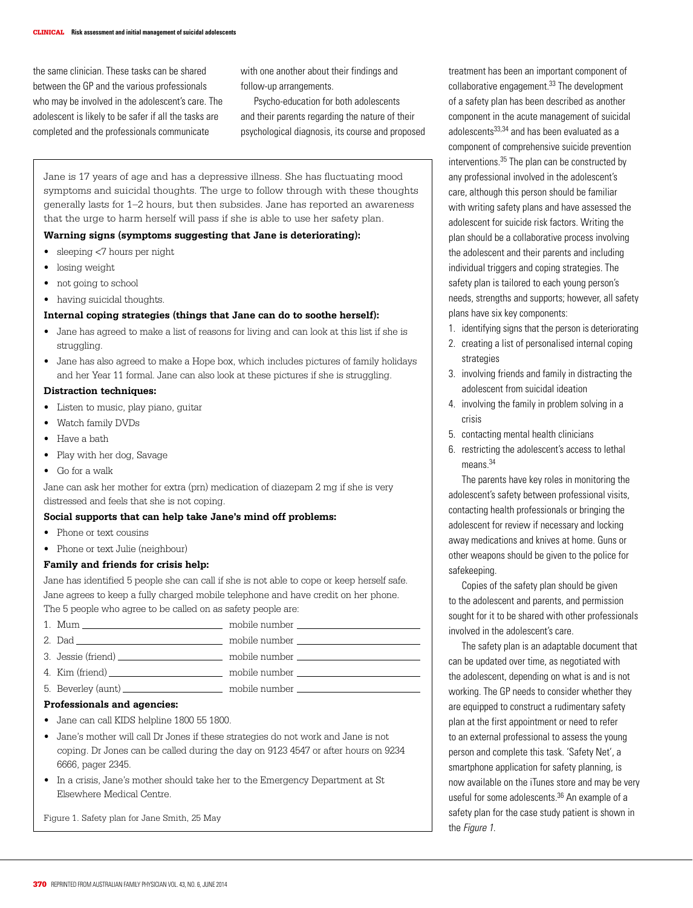the same clinician. These tasks can be shared between the GP and the various professionals who may be involved in the adolescent's care. The adolescent is likely to be safer if all the tasks are completed and the professionals communicate

with one another about their findings and follow-up arrangements.

Psycho-education for both adolescents and their parents regarding the nature of their psychological diagnosis, its course and proposed

Jane is 17 years of age and has a depressive illness. She has fluctuating mood symptoms and suicidal thoughts. The urge to follow through with these thoughts generally lasts for 1–2 hours, but then subsides. Jane has reported an awareness that the urge to harm herself will pass if she is able to use her safety plan.

#### **Warning signs (symptoms suggesting that Jane is deteriorating):**

- sleeping <7 hours per night
- losing weight
- not going to school
- having suicidal thoughts.

#### **Internal coping strategies (things that Jane can do to soothe herself):**

- Jane has agreed to make a list of reasons for living and can look at this list if she is struggling.
- Jane has also agreed to make a Hope box, which includes pictures of family holidays and her Year 11 formal. Jane can also look at these pictures if she is struggling.

## **Distraction techniques:**

- Listen to music, play piano, guitar
- Watch family DVDs
- Have a bath
- Play with her dog, Savage
- Go for a walk

Jane can ask her mother for extra (prn) medication of diazepam 2 mg if she is very distressed and feels that she is not coping.

#### **Social supports that can help take Jane's mind off problems:**

- Phone or text cousins
- Phone or text Julie (neighbour)

#### **Family and friends for crisis help:**

Jane has identified 5 people she can call if she is not able to cope or keep herself safe. Jane agrees to keep a fully charged mobile telephone and have credit on her phone. The 5 people who agree to be called on as safety people are:

|  | mobile number that the control of the control of the control of the control of the control of the control of the control of the control of the control of the control of the control of the control of the control of the cont |
|--|--------------------------------------------------------------------------------------------------------------------------------------------------------------------------------------------------------------------------------|
|  |                                                                                                                                                                                                                                |
|  | mobile number that the control of the control of the control of the control of the control of the control of the control of the control of the control of the control of the control of the control of the control of the cont |
|  | mobile number                                                                                                                                                                                                                  |
|  | mobile number that the mobile number                                                                                                                                                                                           |

#### **Professionals and agencies:**

- Jane can call KIDS helpline 1800 55 1800.
- Jane's mother will call Dr Jones if these strategies do not work and Jane is not coping. Dr Jones can be called during the day on 9123 4547 or after hours on 9234 6666, pager 2345.
- In a crisis, Jane's mother should take her to the Emergency Department at St Elsewhere Medical Centre.

Figure 1. Safety plan for Jane Smith, 25 May

treatment has been an important component of collaborative engagement.33 The development of a safety plan has been described as another component in the acute management of suicidal adolescents<sup>33,34</sup> and has been evaluated as a component of comprehensive suicide prevention interventions.35 The plan can be constructed by any professional involved in the adolescent's care, although this person should be familiar with writing safety plans and have assessed the adolescent for suicide risk factors. Writing the plan should be a collaborative process involving the adolescent and their parents and including individual triggers and coping strategies. The safety plan is tailored to each young person's needs, strengths and supports; however, all safety plans have six key components:

- 1. identifying signs that the person is deteriorating
- 2. creating a list of personalised internal coping strategies
- 3. involving friends and family in distracting the adolescent from suicidal ideation
- 4. involving the family in problem solving in a crisis
- 5. contacting mental health clinicians
- 6. restricting the adolescent's access to lethal means.<sup>34</sup>

The parents have key roles in monitoring the adolescent's safety between professional visits, contacting health professionals or bringing the adolescent for review if necessary and locking away medications and knives at home. Guns or other weapons should be given to the police for safekeeping.

Copies of the safety plan should be given to the adolescent and parents, and permission sought for it to be shared with other professionals involved in the adolescent's care.

The safety plan is an adaptable document that can be updated over time, as negotiated with the adolescent, depending on what is and is not working. The GP needs to consider whether they are equipped to construct a rudimentary safety plan at the first appointment or need to refer to an external professional to assess the young person and complete this task. 'Safety Net', a smartphone application for safety planning, is now available on the iTunes store and may be very useful for some adolescents.<sup>36</sup> An example of a safety plan for the case study patient is shown in the Figure 1.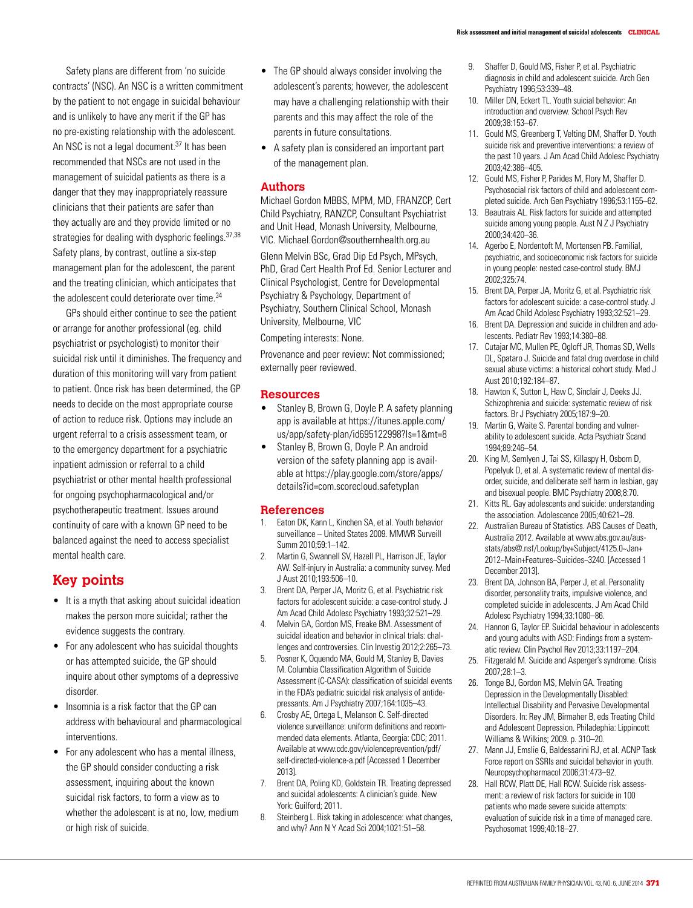Safety plans are different from 'no suicide contracts' (NSC). An NSC is a written commitment by the patient to not engage in suicidal behaviour and is unlikely to have any merit if the GP has no pre-existing relationship with the adolescent. An NSC is not a legal document.<sup>37</sup> It has been recommended that NSCs are not used in the management of suicidal patients as there is a danger that they may inappropriately reassure clinicians that their patients are safer than they actually are and they provide limited or no strategies for dealing with dysphoric feelings. 37,38 Safety plans, by contrast, outline a six-step management plan for the adolescent, the parent and the treating clinician, which anticipates that the adolescent could deteriorate over time.<sup>34</sup>

GPs should either continue to see the patient or arrange for another professional (eg. child psychiatrist or psychologist) to monitor their suicidal risk until it diminishes. The frequency and duration of this monitoring will vary from patient to patient. Once risk has been determined, the GP needs to decide on the most appropriate course of action to reduce risk. Options may include an urgent referral to a crisis assessment team, or to the emergency department for a psychiatric inpatient admission or referral to a child psychiatrist or other mental health professional for ongoing psychopharmacological and/or psychotherapeutic treatment. Issues around continuity of care with a known GP need to be balanced against the need to access specialist mental health care.

# **Key points**

- It is a myth that asking about suicidal ideation makes the person more suicidal; rather the evidence suggests the contrary.
- For any adolescent who has suicidal thoughts or has attempted suicide, the GP should inquire about other symptoms of a depressive disorder.
- Insomnia is a risk factor that the GP can address with behavioural and pharmacological interventions.
- For any adolescent who has a mental illness, the GP should consider conducting a risk assessment, inquiring about the known suicidal risk factors, to form a view as to whether the adolescent is at no, low, medium or high risk of suicide.
- The GP should always consider involving the adolescent's parents; however, the adolescent may have a challenging relationship with their parents and this may affect the role of the parents in future consultations.
- A safety plan is considered an important part of the management plan.

## **Authors**

Michael Gordon MBBS, MPM, MD, FRANZCP, Cert Child Psychiatry, RANZCP, Consultant Psychiatrist and Unit Head, Monash University, Melbourne, VIC. Michael.Gordon@southernhealth.org.au

Glenn Melvin BSc, Grad Dip Ed Psych, MPsych, PhD, Grad Cert Health Prof Ed. Senior Lecturer and Clinical Psychologist, Centre for Developmental Psychiatry & Psychology, Department of Psychiatry, Southern Clinical School, Monash University, Melbourne, VIC

Competing interests: None.

Provenance and peer review: Not commissioned; externally peer reviewed.

### **Resources**

- Stanley B, Brown G, Doyle P. A safety planning app is available at https://itunes.apple.com/ us/app/safety-plan/id695122998?ls=1&mt=8
- Stanley B, Brown G, Doyle P. An android version of the safety planning app is available at https://play.google.com/store/apps/ details?id=com.scorecloud.safetyplan

## **References**

- 1. Eaton DK, Kann L, Kinchen SA, et al. Youth behavior surveillance – United States 2009. MMWR Surveill Summ 2010;59:1–142.
- 2. Martin G, Swannell SV, Hazell PL, Harrison JE, Taylor AW. Self-injury in Australia: a community survey. Med J Aust 2010;193:506–10.
- 3. Brent DA, Perper JA, Moritz G, et al. Psychiatric risk factors for adolescent suicide: a case-control study. J Am Acad Child Adolesc Psychiatry 1993;32:521–29.
- 4. Melvin GA, Gordon MS, Freake BM. Assessment of suicidal ideation and behavior in clinical trials: challenges and controversies. Clin Investig 2012;2:265–73.
- 5. Posner K, Oquendo MA, Gould M, Stanley B, Davies M. Columbia Classification Algorithm of Suicide Assessment (C-CASA): classification of suicidal events in the FDA's pediatric suicidal risk analysis of antidepressants. Am J Psychiatry 2007;164:1035–43.
- 6. Crosby AE, Ortega L, Melanson C. Self-directed violence surveillance: uniform definitions and recommended data elements. Atlanta, Georgia: CDC; 2011. Available at www.cdc.gov/violenceprevention/pdf/ self-directed-violence-a.pdf [Accessed 1 December 2013].
- 7. Brent DA, Poling KD, Goldstein TR. Treating depressed and suicidal adolescents: A clinician's guide. New York: Guilford; 2011.
- Steinberg L. Risk taking in adolescence: what changes, and why? Ann N Y Acad Sci 2004;1021:51–58.
- 9. Shaffer D, Gould MS, Fisher P, et al. Psychiatric diagnosis in child and adolescent suicide. Arch Gen Psychiatry 1996;53:339–48.
- 10. Miller DN, Eckert TL. Youth suicial behavior: An introduction and overview. School Psych Rev 2009;38:153–67.
- 11. Gould MS, Greenberg T, Velting DM, Shaffer D. Youth suicide risk and preventive interventions: a review of the past 10 years. J Am Acad Child Adolesc Psychiatry 2003;42:386–405.
- 12. Gould MS, Fisher P, Parides M, Flory M, Shaffer D. Psychosocial risk factors of child and adolescent completed suicide. Arch Gen Psychiatry 1996;53:1155–62.
- 13. Beautrais AL. Risk factors for suicide and attempted suicide among young people. Aust N Z J Psychiatry 2000;34:420–36.
- 14. Agerbo E, Nordentoft M, Mortensen PB. Familial, psychiatric, and socioeconomic risk factors for suicide in young people: nested case-control study. BMJ 2002;325:74.
- 15. Brent DA, Perper JA, Moritz G, et al. Psychiatric risk factors for adolescent suicide: a case-control study. J Am Acad Child Adolesc Psychiatry 1993;32:521–29.
- 16. Brent DA. Depression and suicide in children and adolescents. Pediatr Rev 1993;14:380–88.
- 17. Cutajar MC, Mullen PE, Ogloff JR, Thomas SD, Wells DL, Spataro J. Suicide and fatal drug overdose in child sexual abuse victims: a historical cohort study. Med J Aust 2010;192:184–87.
- 18. Hawton K, Sutton L, Haw C, Sinclair J, Deeks JJ. Schizophrenia and suicide: systematic review of risk factors. Br J Psychiatry 2005;187:9–20.
- 19. Martin G, Waite S. Parental bonding and vulnerability to adolescent suicide. Acta Psychiatr Scand 1994;89:246–54.
- 20. King M, Semlyen J, Tai SS, Killaspy H, Osborn D, Popelyuk D, et al. A systematic review of mental disorder, suicide, and deliberate self harm in lesbian, gay and bisexual people. BMC Psychiatry 2008;8:70.
- 21. Kitts RL. Gay adolescents and suicide: understanding the association. Adolescence 2005;40:621–28.
- 22. Australian Bureau of Statistics. ABS Causes of Death, Australia 2012. Available at www.abs.gov.au/ausstats/abs@.nsf/Lookup/by+Subject/4125.0~Jan+ 2012~Main+Features~Suicides~3240. [Accessed 1 December 2013].
- 23. Brent DA, Johnson BA, Perper J, et al. Personality disorder, personality traits, impulsive violence, and completed suicide in adolescents. J Am Acad Child Adolesc Psychiatry 1994;33:1080–86.
- 24. Hannon G, Taylor EP. Suicidal behaviour in adolescents and young adults with ASD: Findings from a systematic review. Clin Psychol Rev 2013;33:1197–204.
- 25. Fitzgerald M. Suicide and Asperger's syndrome. Crisis 2007;28:1–3.
- 26. Tonge BJ, Gordon MS, Melvin GA. Treating Depression in the Developmentally Disabled: Intellectual Disability and Pervasive Developmental Disorders. In: Rey JM, Birmaher B, eds Treating Child and Adolescent Depression. Philadephia: Lippincott Williams & Wilkins; 2009. p. 310–20.
- 27. Mann JJ, Emslie G, Baldessarini RJ, et al. ACNP Task Force report on SSRIs and suicidal behavior in youth. Neuropsychopharmacol 2006;31:473–92.
- 28. Hall RCW, Platt DE, Hall RCW. Suicide risk assessment: a review of risk factors for suicide in 100 patients who made severe suicide attempts: evaluation of suicide risk in a time of managed care. Psychosomat 1999;40:18–27.